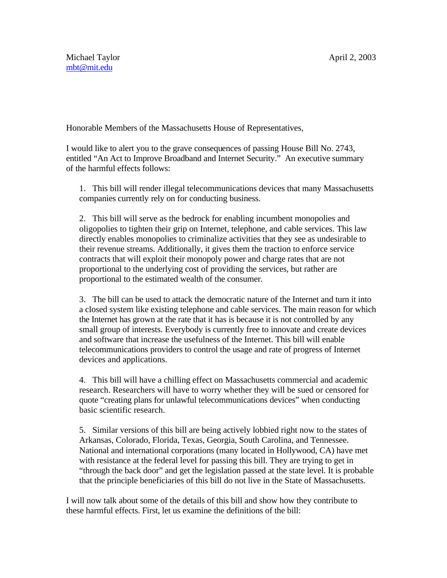Honorable Members of the Massachusetts House of Representatives,

I would like to alert you to the grave consequences of passing House Bill No. 2743, entitled "An Act to Improve Broadband and Internet Security." An executive summary of the harmful effects follows:

1. This bill will render illegal telecommunications devices that many Massachusetts companies currently rely on for conducting business.

2. This bill will serve as the bedrock for enabling incumbent monopolies and oligopolies to tighten their grip on Internet, telephone, and cable services. This law directly enables monopolies to criminalize activities that they see as undesirable to their revenue streams. Additionally, it gives them the traction to enforce service contracts that will exploit their monopoly power and charge rates that are not proportional to the underlying cost of providing the services, but rather are proportional to the estimated wealth of the consumer.

3. The bill can be used to attack the democratic nature of the Internet and turn it into a closed system like existing telephone and cable services. The main reason for which the Internet has grown at the rate that it has is because it is not controlled by any small group of interests. Everybody is currently free to innovate and create devices and software that increase the usefulness of the Internet. This bill will enable telecommunications providers to control the usage and rate of progress of Internet devices and applications.

4. This bill will have a chilling effect on Massachusetts commercial and academic research. Researchers will have to worry whether they will be sued or censored for quote "creating plans for unlawful telecommunications devices" when conducting basic scientific research.

5. Similar versions of this bill are being actively lobbied right now to the states of Arkansas, Colorado, Florida, Texas, Georgia, South Carolina, and Tennessee. National and international corporations (many located in Hollywood, CA) have met with resistance at the federal level for passing this bill. They are trying to get in "through the back door" and get the legislation passed at the state level. It is probable that the principle beneficiaries of this bill do not live in the State of Massachusetts.

I will now talk about some of the details of this bill and show how they contribute to these harmful effects. First, let us examine the definitions of the bill: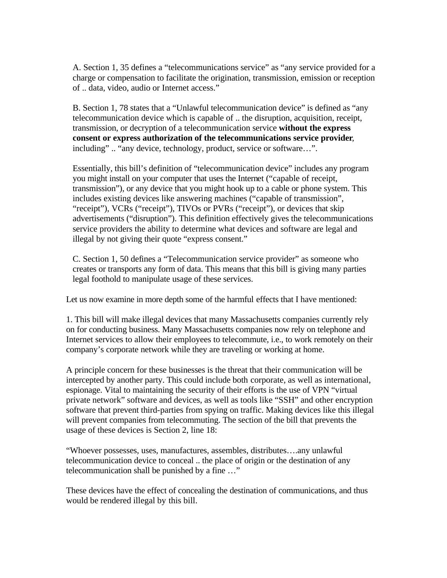A. Section 1, 35 defines a "telecommunications service" as "any service provided for a charge or compensation to facilitate the origination, transmission, emission or reception of .. data, video, audio or Internet access."

B. Section 1, 78 states that a "Unlawful telecommunication device" is defined as "any telecommunication device which is capable of .. the disruption, acquisition, receipt, transmission, or decryption of a telecommunication service **without the express consent or express authorization of the telecommunications service provider**, including" .. "any device, technology, product, service or software…".

Essentially, this bill's definition of "telecommunication device" includes any program you might install on your computer that uses the Internet ("capable of receipt, transmission"), or any device that you might hook up to a cable or phone system. This includes existing devices like answering machines ("capable of transmission", "receipt"), VCRs ("receipt"), TIVOs or PVRs ("receipt"), or devices that skip advertisements ("disruption"). This definition effectively gives the telecommunications service providers the ability to determine what devices and software are legal and illegal by not giving their quote "express consent."

C. Section 1, 50 defines a "Telecommunication service provider" as someone who creates or transports any form of data. This means that this bill is giving many parties legal foothold to manipulate usage of these services.

Let us now examine in more depth some of the harmful effects that I have mentioned:

1. This bill will make illegal devices that many Massachusetts companies currently rely on for conducting business. Many Massachusetts companies now rely on telephone and Internet services to allow their employees to telecommute, i.e., to work remotely on their company's corporate network while they are traveling or working at home.

A principle concern for these businesses is the threat that their communication will be intercepted by another party. This could include both corporate, as well as international, espionage. Vital to maintaining the security of their efforts is the use of VPN "virtual private network" software and devices, as well as tools like "SSH" and other encryption software that prevent third-parties from spying on traffic. Making devices like this illegal will prevent companies from telecommuting. The section of the bill that prevents the usage of these devices is Section 2, line 18:

"Whoever possesses, uses, manufactures, assembles, distributes….any unlawful telecommunication device to conceal .. the place of origin or the destination of any telecommunication shall be punished by a fine …"

These devices have the effect of concealing the destination of communications, and thus would be rendered illegal by this bill.